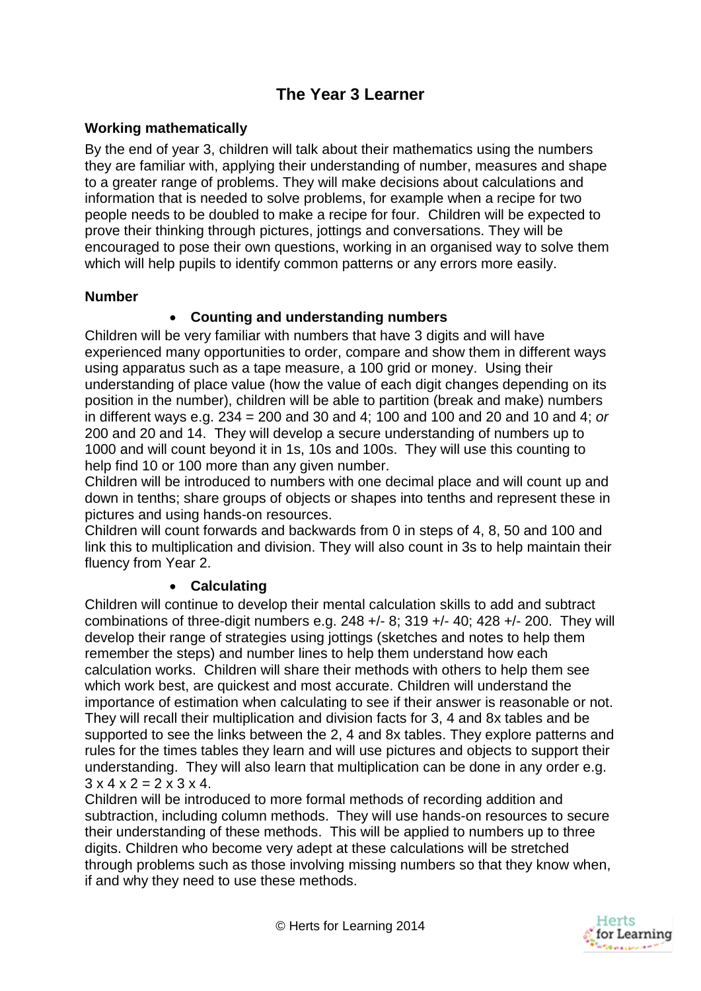# **The Year 3 Learner**

## **Working mathematically**

By the end of year 3, children will talk about their mathematics using the numbers they are familiar with, applying their understanding of number, measures and shape to a greater range of problems. They will make decisions about calculations and information that is needed to solve problems, for example when a recipe for two people needs to be doubled to make a recipe for four. Children will be expected to prove their thinking through pictures, jottings and conversations. They will be encouraged to pose their own questions, working in an organised way to solve them which will help pupils to identify common patterns or any errors more easily.

#### **Number**

## **Counting and understanding numbers**

Children will be very familiar with numbers that have 3 digits and will have experienced many opportunities to order, compare and show them in different ways using apparatus such as a tape measure, a 100 grid or money. Using their understanding of place value (how the value of each digit changes depending on its position in the number), children will be able to partition (break and make) numbers in different ways e.g. 234 = 200 and 30 and 4; 100 and 100 and 20 and 10 and 4; *or* 200 and 20 and 14. They will develop a secure understanding of numbers up to 1000 and will count beyond it in 1s, 10s and 100s. They will use this counting to help find 10 or 100 more than any given number.

Children will be introduced to numbers with one decimal place and will count up and down in tenths; share groups of objects or shapes into tenths and represent these in pictures and using hands-on resources.

Children will count forwards and backwards from 0 in steps of 4, 8, 50 and 100 and link this to multiplication and division. They will also count in 3s to help maintain their fluency from Year 2.

#### **Calculating**

Children will continue to develop their mental calculation skills to add and subtract combinations of three-digit numbers e.g. 248 +/- 8; 319 +/- 40; 428 +/- 200. They will develop their range of strategies using jottings (sketches and notes to help them remember the steps) and number lines to help them understand how each calculation works. Children will share their methods with others to help them see which work best, are quickest and most accurate. Children will understand the importance of estimation when calculating to see if their answer is reasonable or not. They will recall their multiplication and division facts for 3, 4 and 8x tables and be supported to see the links between the 2, 4 and 8x tables. They explore patterns and rules for the times tables they learn and will use pictures and objects to support their understanding. They will also learn that multiplication can be done in any order e.g.  $3 \times 4 \times 2 = 2 \times 3 \times 4$ 

Children will be introduced to more formal methods of recording addition and subtraction, including column methods. They will use hands-on resources to secure their understanding of these methods. This will be applied to numbers up to three digits. Children who become very adept at these calculations will be stretched through problems such as those involving missing numbers so that they know when, if and why they need to use these methods.